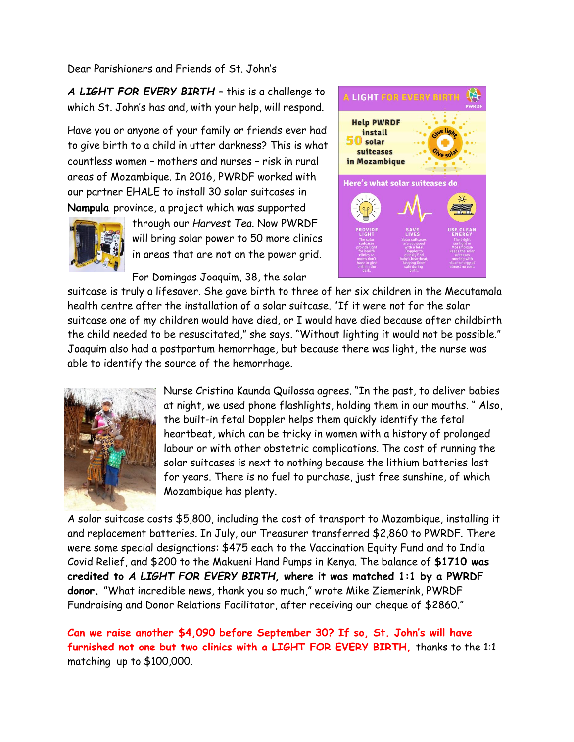Dear Parishioners and Friends of St. John's

*A LIGHT FOR EVERY BIRTH* – this is a challenge to which St. John's has and, with your help, will respond.

Have you or anyone of your family or friends ever had to give birth to a child in utter darkness? This is what countless women – mothers and nurses – risk in rural areas of Mozambique. In 2016, PWRDF worked with our partner EHALE to install 30 solar suitcases in **Nampula** province, a project which was supported



through our *Harvest Tea*. Now PWRDF will bring solar power to 50 more clinics in areas that are not on the power grid.

For Domingas Joaquim, 38, the solar



suitcase is truly a lifesaver. She gave birth to three of her six children in the Mecutamala health centre after the installation of a solar suitcase. "If it were not for the solar suitcase one of my children would have died, or I would have died because after childbirth the child needed to be resuscitated," she says. "Without lighting it would not be possible." Joaquim also had a postpartum hemorrhage, but because there was light, the nurse was able to identify the source of the hemorrhage.



Nurse Cristina Kaunda Quilossa agrees. "In the past, to deliver babies at night, we used phone flashlights, holding them in our mouths. " Also, the built-in fetal Doppler helps them quickly identify the fetal heartbeat, which can be tricky in women with a history of prolonged labour or with other obstetric complications. The cost of running the solar suitcases is next to nothing because the lithium batteries last for years. There is no fuel to purchase, just free sunshine, of which Mozambique has plenty.

A solar suitcase costs \$5,800, including the cost of transport to Mozambique, installing it and replacement batteries. In July, our Treasurer transferred \$2,860 to PWRDF. There were some special designations: \$475 each to the Vaccination Equity Fund and to India Covid Relief, and \$200 to the Makueni Hand Pumps in Kenya. The balance of **\$1710 was credited to** *A LIGHT FOR EVERY BIRTH,* **where it was matched 1:1 by a PWRDF donor.** "What incredible news, thank you so much," wrote Mike Ziemerink, PWRDF Fundraising and Donor Relations Facilitator, after receiving our cheque of \$2860."

**Can we raise another \$4,090 before September 30? If so, St. John's will have furnished not one but two clinics with a LIGHT FOR EVERY BIRTH,** thanks to the 1:1 matching up to \$100,000.